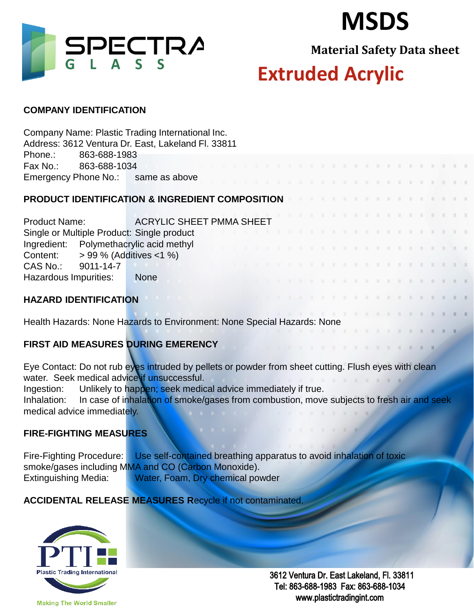



**Material Safety Data sheet**

## **Extruded Acrylic**

#### **COMPANY IDENTIFICATION**

Company Name: Plastic Trading International Inc. Address: 3612 Ventura Dr. East, Lakeland Fl. 33811 Phone.: 863-688-1983 Fax No.: 863-688-1034 Emergency Phone No.: same as above **PRODUCT IDENTIFICATION & INGREDIENT COMPOSITION**  Product Name: ACRYLIC SHEET PMMA SHEET Single or Multiple Product: Single product Ingredient: Polymethacrylic acid methyl Content:  $> 99\%$  (Additives <1 %) CAS No.: 9011-14-7 Hazardous Impurities: None **HAZARD IDENTIFICATION** 

Health Hazards: None Hazards to Environment: None Special Hazards: None

## **FIRST AID MEASURES DURING EMERENCY**

Eye Contact: Do not rub eyes intruded by pellets or powder from sheet cutting. Flush eyes with clean water. Seek medical advice if unsuccessful.

Ingestion: Unlikely to happen; seek medical advice immediately if true.

Inhalation: In case of inhalation of smoke/gases from combustion, move subjects to fresh air and seek medical advice immediately.

### **FIRE-FIGHTING MEASURES**

Fire-Fighting Procedure: Use self-contained breathing apparatus to avoid inhalation of toxic smoke/gases including MMA and CO (Carbon Monoxide). Extinguishing Media: Water, Foam, Dry chemical powder

**ACCIDENTAL RELEASE MEASURES R**ecycle if not contaminated.



 3612 Ventura Dr. East Lakeland, Fl. 33811 Tel: 863-688-1983 Fax: 863-688-1034 www.plastictradingint.com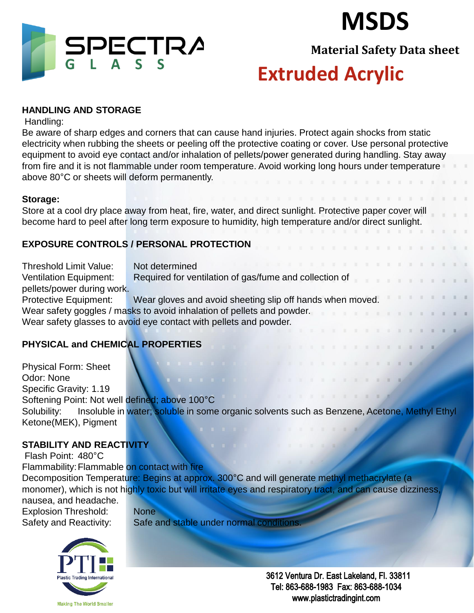



**Material Safety Data sheet**

## **Extruded Acrylic**

### **HANDLING AND STORAGE**

Handling:

Be aware of sharp edges and corners that can cause hand injuries. Protect again shocks from static electricity when rubbing the sheets or peeling off the protective coating or cover. Use personal protective equipment to avoid eye contact and/or inhalation of pellets/power generated during handling. Stay away from fire and it is not flammable under room temperature. Avoid working long hours under temperature above 80°C or sheets will deform permanently.

### **Storage:**

Store at a cool dry place away from heat, fire, water, and direct sunlight. Protective paper cover will become hard to peel after long term exposure to humidity, high temperature and/or direct sunlight.

## **EXPOSURE CONTROLS / PERSONAL PROTECTION**

Threshold Limit Value: Not determined

Ventilation Equipment: Required for ventilation of gas/fume and collection of pellets/power during work.

Protective Equipment: Wear gloves and avoid sheeting slip off hands when moved. Wear safety goggles / masks to avoid inhalation of pellets and powder. Wear safety glasses to avoid eye contact with pellets and powder.

## **PHYSICAL and CHEMICAL PROPERTIES**

Physical Form: Sheet Odor: None Specific Gravity: 1.19 Softening Point: Not well defined; above 100°C Solubility: Insoluble in water; soluble in some organic solvents such as Benzene, Acetone, Methyl Ethyl Ketone(MEK), Pigment

## **STABILITY AND REACTIVITY**

 Flash Point: 480°C Flammability: Flammable on contact with fire Decomposition Temperature: Begins at approx. 300°C and will generate methyl methacrylate (a monomer), which is not highly toxic but will irritate eyes and respiratory tract, and can cause dizziness, nausea, and headache. Explosion Threshold: None

Safety and Reactivity: Safe and stable under normal conditions.



 3612 Ventura Dr. East Lakeland, Fl. 33811 Tel: 863-688-1983 Fax: 863-688-1034 www.plastictradingint.com